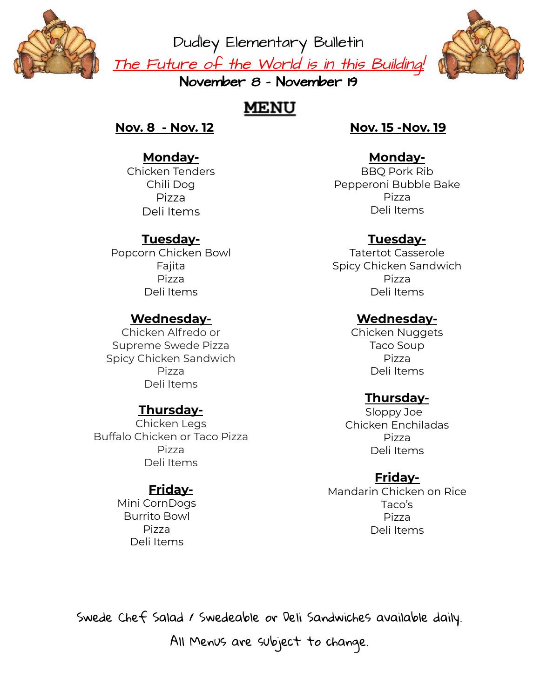

Dudley Elementary Bulletin <u>The Future of the World is in this Building!</u>



November 8 - November 19

# **MENU**

**Nov. 8 - Nov. 12**

# **Monday-**

Chicken Tenders Chili Dog Pizza Deli Items

# **Tuesday-**

Popcorn Chicken Bowl Fajita Pizza Deli Items

#### **Wednesday-**

Chicken Alfredo or Supreme Swede Pizza Spicy Chicken Sandwich Pizza Deli Items

# **Thursday-**

Chicken Legs Buffalo Chicken or Taco Pizza Pizza Deli Items

# **Friday-**

Mini CornDogs Burrito Bowl Pizza Deli Items

### **Nov. 15 -Nov. 19**

#### **Monday-**

BBQ Pork Rib Pepperoni Bubble Bake Pizza Deli Items

### **Tuesday-**

Tatertot Casserole Spicy Chicken Sandwich Pizza Deli Items

#### **Wednesday-**

Chicken Nuggets Taco Soup Pizza Deli Items

# **Thursday-**

Sloppy Joe Chicken Enchiladas Pizza Deli Items

#### **Friday-**

Mandarin Chicken on Rice Taco's Pizza Deli Items

Swede Chef Salad / Swedeable or Deli Sandwiches available daily.

All Menus are subject to change.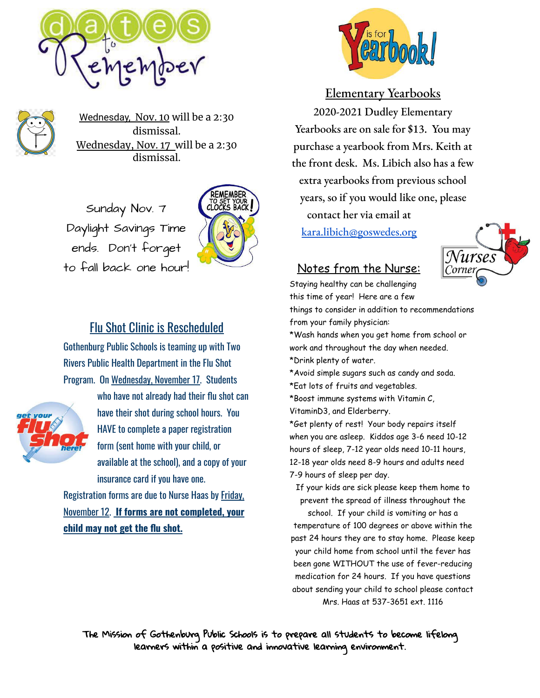



Wednesday, Nov. 10 will be a 2:30 dismissal. Wednesday, Nov. 17 will be a 2:30 dismissal.

Sunday Nov. 7 Daylight Savings Time ends. Don't forget to fall back one hour!



# Flu Shot Clinic is Rescheduled

Gothenburg Public Schools is teaming up with Two Rivers Public Health Department in the Flu Shot Program. On Wednesday, November 17. Students



who have not already had their flu shot can have their shot during school hours. You HAVE to complete a paper registration form (sent home with your child, or available at the school), and a copy of your insurance card if you have one.

Registration forms are due to Nurse Haas by Friday, November 12. **If forms are not completed, your child may not get the flu shot.**



#### Elementary Yearbooks

2020-2021 Dudley Elementary Yearbooks are on sale for \$13. You may purchase a yearbook from Mrs. Keith at the front desk. Ms. Libich also has a few extra yearbooks from previous school years, so if you would like one, please contact her via email at [kara.libich@goswedes.org](mailto:kara.libich@goswedes.org)



#### Notes from the Nurse:

Staying healthy can be challenging this time of year! Here are a few

things to consider in addition to recommendations from your family physician:

\*Wash hands when you get home from school or work and throughout the day when needed. \*Drink plenty of water.

\*Avoid simple sugars such as candy and soda.

\*Eat lots of fruits and vegetables.

\*Boost immune systems with Vitamin C, VitaminD3, and Elderberry.

\*Get plenty of rest! Your body repairs itself when you are asleep. Kiddos age 3-6 need 10-12 hours of sleep, 7-12 year olds need 10-11 hours, 12-18 year olds need 8-9 hours and adults need 7-9 hours of sleep per day.

If your kids are sick please keep them home to prevent the spread of illness throughout the

school. If your child is vomiting or has a temperature of 100 degrees or above within the past 24 hours they are to stay home. Please keep your child home from school until the fever has been gone WITHOUT the use of fever-reducing medication for 24 hours. If you have questions about sending your child to school please contact Mrs. Haas at 537-3651 ext. 1116

The Mission of Gothenburg Public Schools is to prepare all students to become lifelong learners within a positive and innovative learning environment.